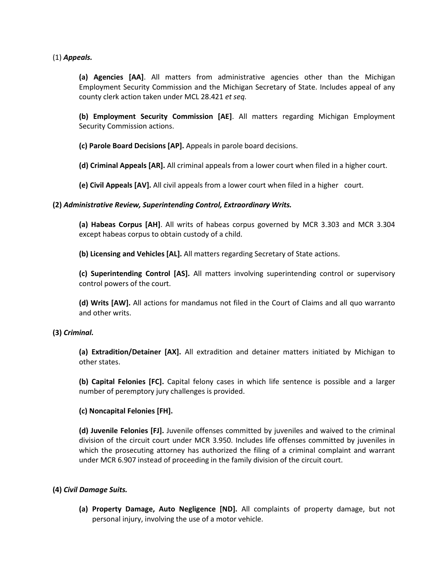## (1) *Appeals.*

**(a) Agencies [AA]**. All matters from administrative agencies other than the Michigan Employment Security Commission and the Michigan Secretary of State. Includes appeal of any county clerk action taken under MCL 28.421 *et seq.*

**(b) Employment Security Commission [AE]**. All matters regarding Michigan Employment Security Commission actions.

**(c) Parole Board Decisions [AP].** Appeals in parole board decisions.

**(d) Criminal Appeals [AR].** All criminal appeals from a lower court when filed in a higher court.

**(e) Civil Appeals [AV].** All civil appeals from a lower court when filed in a higher court.

# **(2)** *Administrative Review, Superintending Control, Extraordinary Writs.*

**(a) Habeas Corpus [AH]**. All writs of habeas corpus governed by MCR 3.303 and MCR 3.304 except habeas corpus to obtain custody of a child.

**(b) Licensing and Vehicles [AL].** All matters regarding Secretary of State actions.

**(c) Superintending Control [AS].** All matters involving superintending control or supervisory control powers of the court.

**(d) Writs [AW].** All actions for mandamus not filed in the Court of Claims and all quo warranto and other writs.

# **(3)** *Criminal.*

**(a) Extradition/Detainer [AX].** All extradition and detainer matters initiated by Michigan to other states.

**(b) Capital Felonies [FC].** Capital felony cases in which life sentence is possible and a larger number of peremptory jury challenges is provided.

## **(c) Noncapital Felonies [FH].**

**(d) Juvenile Felonies [FJ].** Juvenile offenses committed by juveniles and waived to the criminal division of the circuit court under MCR 3.950. Includes life offenses committed by juveniles in which the prosecuting attorney has authorized the filing of a criminal complaint and warrant under MCR 6.907 instead of proceeding in the family division of the circuit court.

## **(4)** *Civil Damage Suits.*

**(a) Property Damage, Auto Negligence [ND].** All complaints of property damage, but not personal injury, involving the use of a motor vehicle.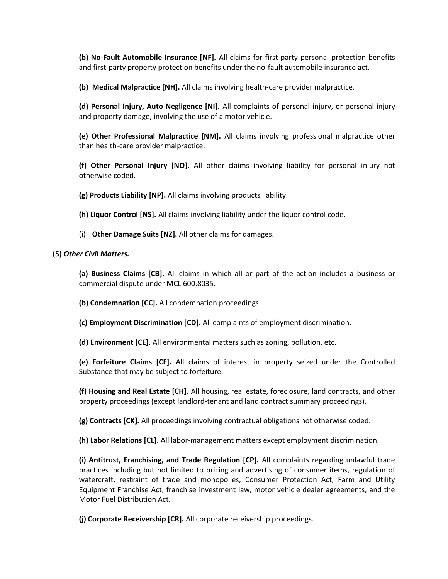**(b) No-Fault Automobile Insurance [NF].** All claims for first-party personal protection benefits and first-party property protection benefits under the no-fault automobile insurance act.

**(b) Medical Malpractice [NH].** All claims involving health-care provider malpractice.

**(d) Personal Injury, Auto Negligence [NI].** All complaints of personal injury, or personal injury and property damage, involving the use of a motor vehicle.

**(e) Other Professional Malpractice [NM].** All claims involving professional malpractice other than health-care provider malpractice.

**(f) Other Personal Injury [NO].** All other claims involving liability for personal injury not otherwise coded.

**(g) Products Liability [NP].** All claims involving products liability.

**(h) Liquor Control [NS].** All claims involving liability under the liquor control code.

(i) **Other Damage Suits [NZ].** All other claims for damages.

**(5)** *Other Civil Matters.*

**(a) Business Claims [CB].** All claims in which all or part of the action includes a business or commercial dispute under MCL 600.8035.

**(b) Condemnation [CC].** All condemnation proceedings.

**(c) Employment Discrimination [CD].** All complaints of employment discrimination.

**(d) Environment [CE].** All environmental matters such as zoning, pollution, etc.

**(e) Forfeiture Claims [CF].** All claims of interest in property seized under the Controlled Substance that may be subject to forfeiture.

**(f) Housing and Real Estate [CH].** All housing, real estate, foreclosure, land contracts, and other property proceedings (except landlord-tenant and land contract summary proceedings).

**(g) Contracts [CK].** All proceedings involving contractual obligations not otherwise coded.

**(h) Labor Relations [CL].** All labor-management matters except employment discrimination.

**(i) Antitrust, Franchising, and Trade Regulation [CP].** All complaints regarding unlawful trade practices including but not limited to pricing and advertising of consumer items, regulation of watercraft, restraint of trade and monopolies, Consumer Protection Act, Farm and Utility Equipment Franchise Act, franchise investment law, motor vehicle dealer agreements, and the Motor Fuel Distribution Act.

**(j) Corporate Receivership [CR].** All corporate receivership proceedings.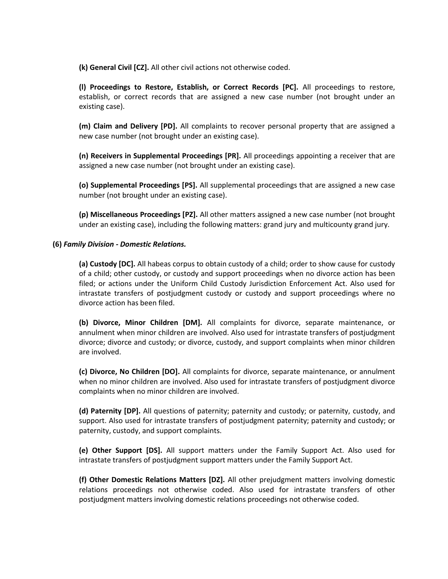**(k) General Civil [CZ].** All other civil actions not otherwise coded.

**(l) Proceedings to Restore, Establish, or Correct Records [PC].** All proceedings to restore, establish, or correct records that are assigned a new case number (not brought under an existing case).

**(m) Claim and Delivery [PD].** All complaints to recover personal property that are assigned a new case number (not brought under an existing case).

**(n) Receivers in Supplemental Proceedings [PR].** All proceedings appointing a receiver that are assigned a new case number (not brought under an existing case).

**(o) Supplemental Proceedings [PS].** All supplemental proceedings that are assigned a new case number (not brought under an existing case).

**(p) Miscellaneous Proceedings [PZ].** All other matters assigned a new case number (not brought under an existing case), including the following matters: grand jury and multicounty grand jury.

### **(6)** *Family Division - Domestic Relations.*

**(a) Custody [DC].** All habeas corpus to obtain custody of a child; order to show cause for custody of a child; other custody, or custody and support proceedings when no divorce action has been filed; or actions under the Uniform Child Custody Jurisdiction Enforcement Act. Also used for intrastate transfers of postjudgment custody or custody and support proceedings where no divorce action has been filed.

**(b) Divorce, Minor Children [DM].** All complaints for divorce, separate maintenance, or annulment when minor children are involved. Also used for intrastate transfers of postjudgment divorce; divorce and custody; or divorce, custody, and support complaints when minor children are involved.

**(c) Divorce, No Children [DO].** All complaints for divorce, separate maintenance, or annulment when no minor children are involved. Also used for intrastate transfers of postjudgment divorce complaints when no minor children are involved.

**(d) Paternity [DP].** All questions of paternity; paternity and custody; or paternity, custody, and support. Also used for intrastate transfers of postjudgment paternity; paternity and custody; or paternity, custody, and support complaints.

**(e) Other Support [DS].** All support matters under the Family Support Act. Also used for intrastate transfers of postjudgment support matters under the Family Support Act.

**(f) Other Domestic Relations Matters [DZ].** All other prejudgment matters involving domestic relations proceedings not otherwise coded. Also used for intrastate transfers of other postjudgment matters involving domestic relations proceedings not otherwise coded.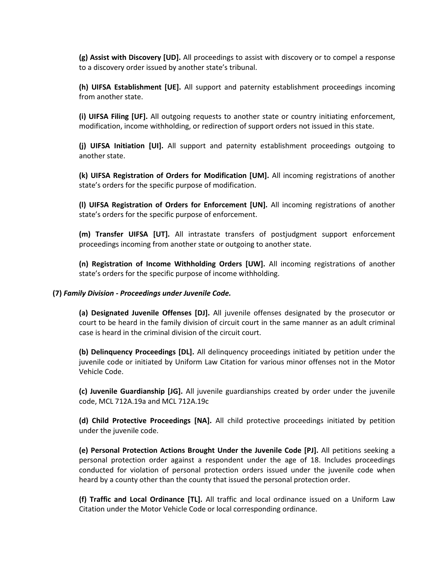**(g) Assist with Discovery [UD].** All proceedings to assist with discovery or to compel a response to a discovery order issued by another state's tribunal.

**(h) UIFSA Establishment [UE].** All support and paternity establishment proceedings incoming from another state.

**(i) UIFSA Filing [UF].** All outgoing requests to another state or country initiating enforcement, modification, income withholding, or redirection of support orders not issued in this state.

**(j) UIFSA Initiation [UI].** All support and paternity establishment proceedings outgoing to another state.

**(k) UIFSA Registration of Orders for Modification [UM].** All incoming registrations of another state's orders for the specific purpose of modification.

**(l) UIFSA Registration of Orders for Enforcement [UN].** All incoming registrations of another state's orders for the specific purpose of enforcement.

**(m) Transfer UIFSA [UT].** All intrastate transfers of postjudgment support enforcement proceedings incoming from another state or outgoing to another state.

**(n) Registration of Income Withholding Orders [UW].** All incoming registrations of another state's orders for the specific purpose of income withholding.

#### **(7)** *Family Division - Proceedings under Juvenile Code.*

**(a) Designated Juvenile Offenses [DJ].** All juvenile offenses designated by the prosecutor or court to be heard in the family division of circuit court in the same manner as an adult criminal case is heard in the criminal division of the circuit court.

**(b) Delinquency Proceedings [DL].** All delinquency proceedings initiated by petition under the juvenile code or initiated by Uniform Law Citation for various minor offenses not in the Motor Vehicle Code.

**(c) Juvenile Guardianship [JG].** All juvenile guardianships created by order under the juvenile code, MCL 712A.19a and MCL 712A.19c

**(d) Child Protective Proceedings [NA].** All child protective proceedings initiated by petition under the juvenile code.

**(e) Personal Protection Actions Brought Under the Juvenile Code [PJ].** All petitions seeking a personal protection order against a respondent under the age of 18. Includes proceedings conducted for violation of personal protection orders issued under the juvenile code when heard by a county other than the county that issued the personal protection order.

**(f) Traffic and Local Ordinance [TL].** All traffic and local ordinance issued on a Uniform Law Citation under the Motor Vehicle Code or local corresponding ordinance.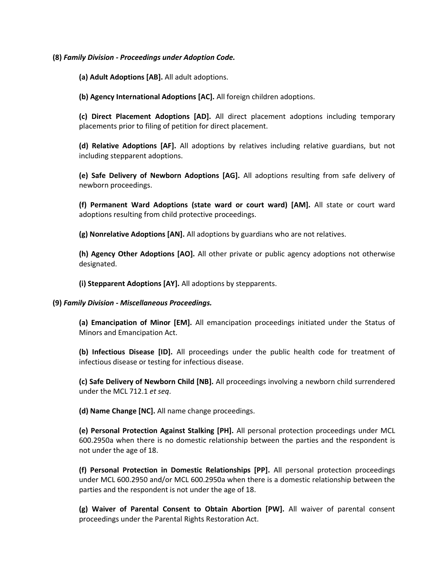#### **(8)** *Family Division - Proceedings under Adoption Code.*

**(a) Adult Adoptions [AB].** All adult adoptions.

**(b) Agency International Adoptions [AC].** All foreign children adoptions.

**(c) Direct Placement Adoptions [AD].** All direct placement adoptions including temporary placements prior to filing of petition for direct placement.

**(d) Relative Adoptions [AF].** All adoptions by relatives including relative guardians, but not including stepparent adoptions.

**(e) Safe Delivery of Newborn Adoptions [AG].** All adoptions resulting from safe delivery of newborn proceedings.

**(f) Permanent Ward Adoptions (state ward or court ward) [AM].** All state or court ward adoptions resulting from child protective proceedings.

**(g) Nonrelative Adoptions [AN].** All adoptions by guardians who are not relatives.

**(h) Agency Other Adoptions [AO].** All other private or public agency adoptions not otherwise designated.

**(i) Stepparent Adoptions [AY].** All adoptions by stepparents.

## **(9)** *Family Division - Miscellaneous Proceedings.*

**(a) Emancipation of Minor [EM].** All emancipation proceedings initiated under the Status of Minors and Emancipation Act.

**(b) Infectious Disease [ID].** All proceedings under the public health code for treatment of infectious disease or testing for infectious disease.

**(c) Safe Delivery of Newborn Child [NB].** All proceedings involving a newborn child surrendered under the MCL 712.1 *et seq*.

**(d) Name Change [NC].** All name change proceedings.

**(e) Personal Protection Against Stalking [PH].** All personal protection proceedings under MCL 600.2950a when there is no domestic relationship between the parties and the respondent is not under the age of 18.

**(f) Personal Protection in Domestic Relationships [PP].** All personal protection proceedings under MCL 600.2950 and/or MCL 600.2950a when there is a domestic relationship between the parties and the respondent is not under the age of 18.

**(g) Waiver of Parental Consent to Obtain Abortion [PW].** All waiver of parental consent proceedings under the Parental Rights Restoration Act.